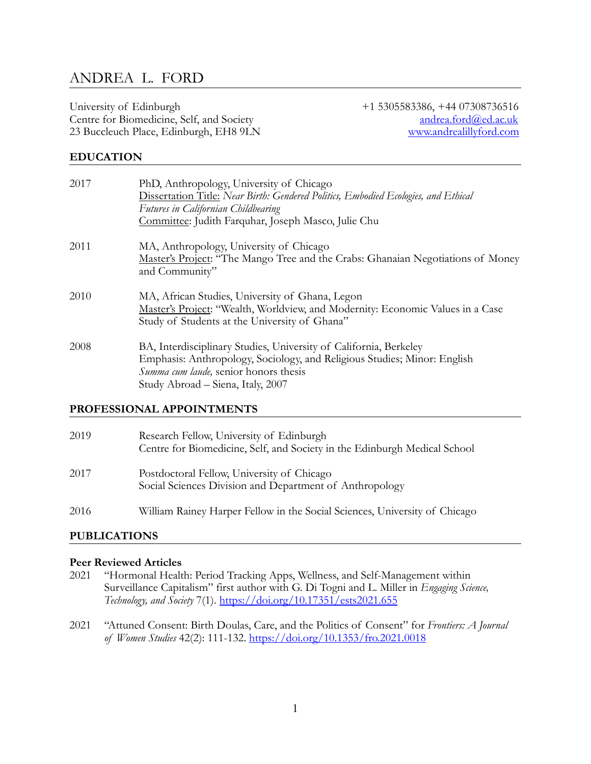# ANDREA L. FORD

University of Edinburgh +1 5305583386, +44 07308736516 Centre for Biomedicine, Self, and Society andrea.ford@ed.ac.uk<br>
23 Buccleuch Place, Edinburgh, EH8 9LN www.andrealillyford.com 23 Buccleuch Place, Edinburgh, EH8 9LN

#### **EDUCATION**

| 2017 | PhD, Anthropology, University of Chicago<br>Dissertation Title: Near Birth: Gendered Politics, Embodied Ecologies, and Ethical<br><b>Futures in Californian Childbearing</b><br>Committee: Judith Farquhar, Joseph Masco, Julie Chu |
|------|-------------------------------------------------------------------------------------------------------------------------------------------------------------------------------------------------------------------------------------|
| 2011 | MA, Anthropology, University of Chicago<br>Master's Project: "The Mango Tree and the Crabs: Ghanaian Negotiations of Money<br>and Community"                                                                                        |
| 2010 | MA, African Studies, University of Ghana, Legon<br>Master's Project: "Wealth, Worldview, and Modernity: Economic Values in a Case<br>Study of Students at the University of Ghana"                                                  |
| 2008 | BA, Interdisciplinary Studies, University of California, Berkeley<br>Emphasis: Anthropology, Sociology, and Religious Studies; Minor: English<br>Summa cum laude, senior honors thesis<br>Study Abroad - Siena, Italy, 2007         |

#### **PROFESSIONAL APPOINTMENTS**

| 2019 | Research Fellow, University of Edinburgh<br>Centre for Biomedicine, Self, and Society in the Edinburgh Medical School |
|------|-----------------------------------------------------------------------------------------------------------------------|
| 2017 | Postdoctoral Fellow, University of Chicago<br>Social Sciences Division and Department of Anthropology                 |
| 2016 | William Rainey Harper Fellow in the Social Sciences, University of Chicago                                            |

### **PUBLICATIONS**

#### **Peer Reviewed Articles**

- 2021 "Hormonal Health: Period Tracking Apps, Wellness, and Self-Management within Surveillance Capitalism" first author with G. Di Togni and L. Miller in *Engaging Science, Technology, and Society* 7(1).<https://doi.org/10.17351/ests2021.655>
- 2021 "Attuned Consent: Birth Doulas, Care, and the Politics of Consent" for *Frontiers: A Journal of Women Studies* 42(2): 111-132.<https://doi.org/10.1353/fro.2021.0018>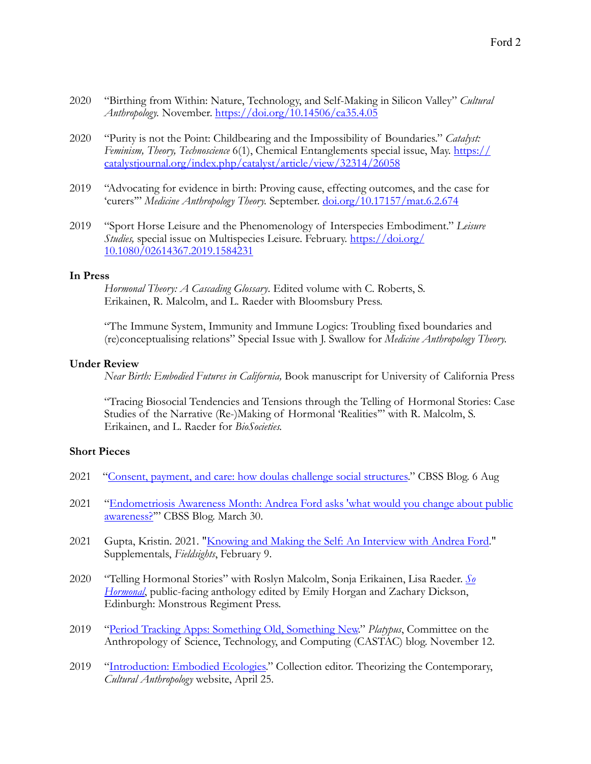- 2020 "Birthing from Within: Nature, Technology, and Self-Making in Silicon Valley" *Cultural Anthropology.* November.<https://doi.org/10.14506/ca35.4.05>
- 2020 "Purity is not the Point: Childbearing and the Impossibility of Boundaries." *Catalyst: Feminism, Theory, Technoscience* 6(1), Chemical Entanglements special issue, May. [https://](https://catalystjournal.org/index.php/catalyst/article/view/32314/26058) [catalystjournal.org/index.php/catalyst/article/view/32314/26058](https://catalystjournal.org/index.php/catalyst/article/view/32314/26058)
- 2019 "Advocating for evidence in birth: Proving cause, effecting outcomes, and the case for 'curers'" *Medicine Anthropology Theory.* September. [doi.org/10.17157/mat.6.2.674](http://doi.org/10.17157/mat.6.2.674)
- 2019 "Sport Horse Leisure and the Phenomenology of Interspecies Embodiment." *Leisure Studies, special issue on Multispecies Leisure. February. [https://doi.org/](https://doi.org/10.1080/02614367.2019.1584231)* [10.1080/02614367.2019.1584231](https://doi.org/10.1080/02614367.2019.1584231)

#### **In Press**

*Hormonal Theory: A Cascading Glossary*. Edited volume with C. Roberts, S. Erikainen, R. Malcolm, and L. Raeder with Bloomsbury Press.

"The Immune System, Immunity and Immune Logics: Troubling fixed boundaries and (re)conceptualising relations" Special Issue with J. Swallow for *Medicine Anthropology Theory.*

#### **Under Review**

*Near Birth: Embodied Futures in California,* Book manuscript for University of California Press

"Tracing Biosocial Tendencies and Tensions through the Telling of Hormonal Stories: Case Studies of the Narrative (Re-)Making of Hormonal 'Realities'" with R. Malcolm, S. Erikainen, and L. Raeder for *BioSocieties.*

#### **Short Pieces**

- 2021 "[Consent, payment, and care: how doulas challenge social structures.](https://www.ed.ac.uk/usher/biomedicine-self-society/blog/consent-payment-and-care-how-doulas-challenge-soci)" CBSS Blog. 6 Aug
- 2021 ["Endometriosis Awareness Month: Andrea Ford asks 'what would you change about public](https://www.ed.ac.uk/usher/biomedicine-self-society/centre-news/endometriosis-awareness-month)  [awareness?'](https://www.ed.ac.uk/usher/biomedicine-self-society/centre-news/endometriosis-awareness-month)" CBSS Blog. March 30.
- 2021 Gupta, Kristin. 2021. ["Knowing and Making the Self: An Interview with Andrea Ford.](https://culanth.org/fieldsights/knowing-and-making-the-self-an-interview-with-andrea-ford)" Supplementals, *Fieldsights*, February 9.
- 2020 "Telling Hormonal Stories" with Roslyn Malcolm, Sonja Erikainen, Lisa Raeder. *[So](https://www.monstrous-regiment.com/shop/so-hormonal-essays-about-our-hormones)  [Hormonal](https://www.monstrous-regiment.com/shop/so-hormonal-essays-about-our-hormones)*, public-facing anthology edited by Emily Horgan and Zachary Dickson, Edinburgh: Monstrous Regiment Press.
- 2019 ["Period Tracking Apps: Something Old, Something New.](http://blog.castac.org/2019/11/period-tracking-apps-something-old-something-new/)" *Platypus*, [Committee on the](http://castac.org/)  [Anthropology of Science, Technology, and Computing](http://castac.org/) (CASTAC) blog. November 12.
- 2019 ["Introduction: Embodied Ecologies.](https://culanth.org/fieldsights/introduction-embodied-ecologies)" Collection editor. Theorizing the Contemporary, *Cultural Anthropology* website, April 25.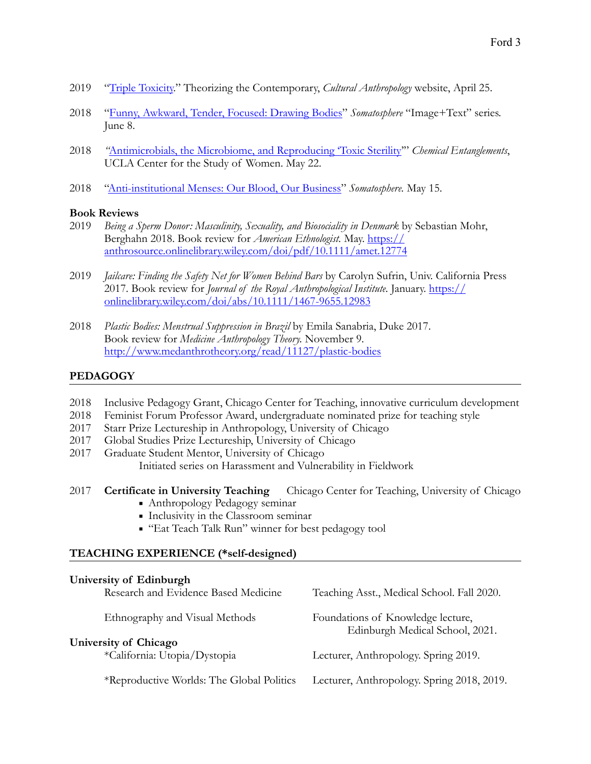- 2019 ["Triple Toxicity.](https://culanth.org/fieldsights/triple-toxicity)" Theorizing the Contemporary, *Cultural Anthropology* website, April 25.
- 2018 ["Funny, Awkward, Tender, Focused: Drawing Bodies"](http://somatosphere.net/2018/06/drawing-bodies.html) *Somatosphere* "Image+Text" series. June 8.
- 2018 *"*[Antimicrobials, the Microbiome, and Reproducing 'Toxic Sterility'](https://csw.ucla.edu/2018/05/22/antimicrobials-the-microbiome-and-reproducing-toxic-sterility/)" *Chemical Entanglements*, UCLA Center for the Study of Women. May 22.
- 2018 ["Anti-institutional Menses: Our Blood, Our Business"](http://somatosphere.net/2018/05/antiinstitutional-menses.html) *Somatosphere.* May 15.

### **Book Reviews**

- 2019 *Being a Sperm Donor: Masculinity, Sexuality, and Biosociality in Denmark* by Sebastian Mohr, Berghahn 2018. Book review for *American Ethnologist.* May. [https://](https://anthrosource.onlinelibrary.wiley.com/doi/pdf/10.1111/amet.12774) [anthrosource.onlinelibrary.wiley.com/doi/pdf/10.1111/amet.12774](https://anthrosource.onlinelibrary.wiley.com/doi/pdf/10.1111/amet.12774)
- 2019 *Jailcare: Finding the Safety Net for Women Behind Bars* by Carolyn Sufrin, Univ. California Press 2017. Book review for *Journal of the Royal Anthropological Institute.* January. [https://](https://onlinelibrary.wiley.com/doi/abs/10.1111/1467-9655.12983) [onlinelibrary.wiley.com/doi/abs/10.1111/1467-9655.12983](https://onlinelibrary.wiley.com/doi/abs/10.1111/1467-9655.12983)
- 2018 *Plastic Bodies: Menstrual Suppression in Brazil* by Emila Sanabria, Duke 2017. Book review for *Medicine Anthropology Theory.* November 9. <http://www.medanthrotheory.org/read/11127/plastic-bodies>

## **PEDAGOGY**

- 2018 Inclusive Pedagogy Grant, Chicago Center for Teaching, innovative curriculum development
- 2018 Feminist Forum Professor Award, undergraduate nominated prize for teaching style
- 2017 Starr Prize Lectureship in Anthropology, University of Chicago
- 2017 Global Studies Prize Lectureship, University of Chicago
- 2017 Graduate Student Mentor, University of Chicago Initiated series on Harassment and Vulnerability in Fieldwork
- 2017 **Certificate in University Teaching** Chicago Center for Teaching, University of Chicago • Anthropology Pedagogy seminar
	- Inclusivity in the Classroom seminar
	- "Eat Teach Talk Run" winner for best pedagogy tool

### **TEACHING EXPERIENCE (\*self-designed)**

| University of Edinburgh                               |                                                                      |
|-------------------------------------------------------|----------------------------------------------------------------------|
| Research and Evidence Based Medicine                  | Teaching Asst., Medical School. Fall 2020.                           |
| Ethnography and Visual Methods                        | Foundations of Knowledge lecture,<br>Edinburgh Medical School, 2021. |
| University of Chicago<br>*California: Utopia/Dystopia | Lecturer, Anthropology. Spring 2019.                                 |
| *Reproductive Worlds: The Global Politics             | Lecturer, Anthropology. Spring 2018, 2019.                           |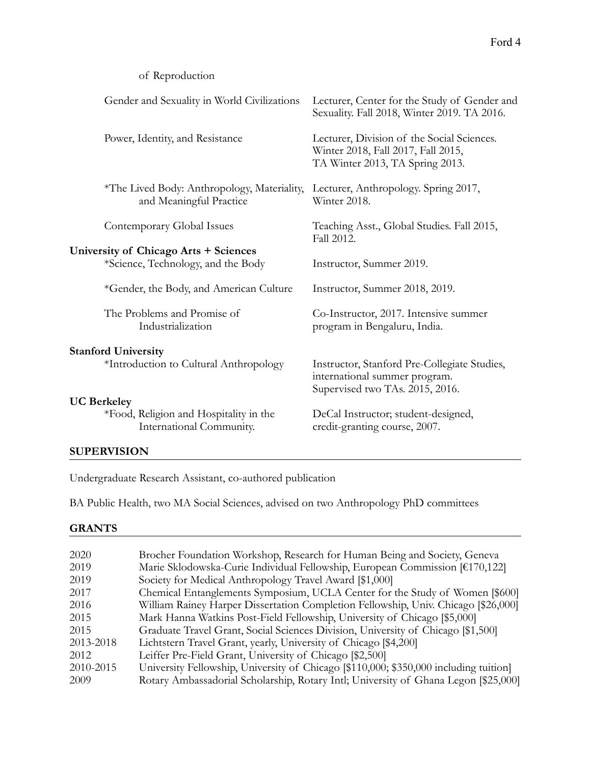## of Reproduction

|  | Gender and Sexuality in World Civilizations                                              | Lecturer, Center for the Study of Gender and<br>Sexuality. Fall 2018, Winter 2019. TA 2016.                         |
|--|------------------------------------------------------------------------------------------|---------------------------------------------------------------------------------------------------------------------|
|  | Power, Identity, and Resistance                                                          | Lecturer, Division of the Social Sciences.<br>Winter 2018, Fall 2017, Fall 2015,<br>TA Winter 2013, TA Spring 2013. |
|  | *The Lived Body: Anthropology, Materiality,<br>and Meaningful Practice                   | Lecturer, Anthropology. Spring 2017,<br>Winter 2018.                                                                |
|  | Contemporary Global Issues                                                               | Teaching Asst., Global Studies. Fall 2015,<br>Fall 2012.                                                            |
|  | University of Chicago Arts + Sciences<br>*Science, Technology, and the Body              | Instructor, Summer 2019.                                                                                            |
|  | *Gender, the Body, and American Culture                                                  | Instructor, Summer 2018, 2019.                                                                                      |
|  | The Problems and Promise of<br>Industrialization                                         | Co-Instructor, 2017. Intensive summer<br>program in Bengaluru, India.                                               |
|  | <b>Stanford University</b>                                                               |                                                                                                                     |
|  | *Introduction to Cultural Anthropology                                                   | Instructor, Stanford Pre-Collegiate Studies,<br>international summer program.<br>Supervised two TAs. 2015, 2016.    |
|  | <b>UC Berkeley</b><br>*Food, Religion and Hospitality in the<br>International Community. | DeCal Instructor; student-designed,<br>credit-granting course, 2007.                                                |

## **SUPERVISION**

Undergraduate Research Assistant, co-authored publication

BA Public Health, two MA Social Sciences, advised on two Anthropology PhD committees

### **GRANTS**

| 2020      | Brocher Foundation Workshop, Research for Human Being and Society, Geneva             |
|-----------|---------------------------------------------------------------------------------------|
| 2019      | Marie Sklodowska-Curie Individual Fellowship, European Commission [€170,122]          |
| 2019      | Society for Medical Anthropology Travel Award [\$1,000]                               |
| 2017      | Chemical Entanglements Symposium, UCLA Center for the Study of Women [\$600]          |
| 2016      | William Rainey Harper Dissertation Completion Fellowship, Univ. Chicago [\$26,000]    |
| 2015      | Mark Hanna Watkins Post-Field Fellowship, University of Chicago [\$5,000]             |
| 2015      | Graduate Travel Grant, Social Sciences Division, University of Chicago [\$1,500]      |
| 2013-2018 | Lichtstern Travel Grant, yearly, University of Chicago [\$4,200]                      |
| 2012      | Leiffer Pre-Field Grant, University of Chicago [\$2,500]                              |
| 2010-2015 | University Fellowship, University of Chicago [\$110,000; \$350,000 including tuition] |
| 2009      | Rotary Ambassadorial Scholarship, Rotary Intl; University of Ghana Legon [\$25,000]   |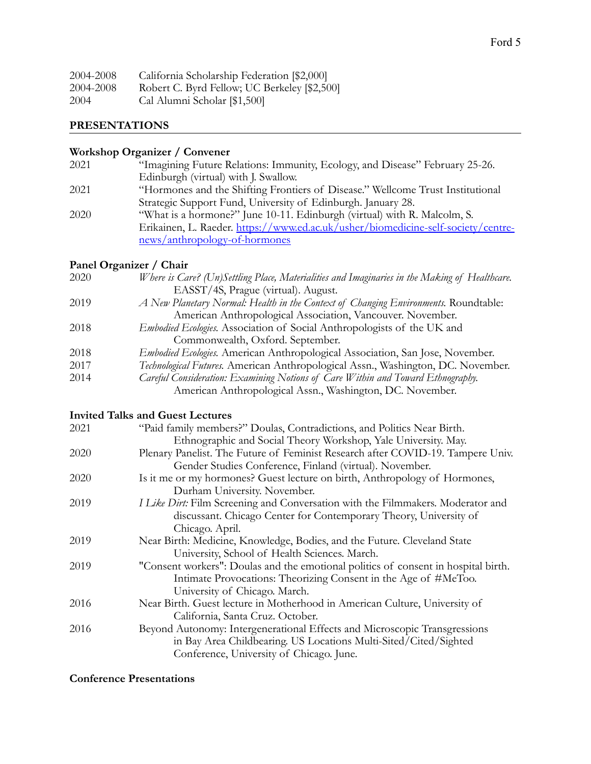| 2004-2008 | California Scholarship Federation [\$2,000]  |
|-----------|----------------------------------------------|
| 2004-2008 | Robert C. Byrd Fellow; UC Berkeley [\$2,500] |
| 2004      | Cal Alumni Scholar [\$1,500]                 |

## **PRESENTATIONS**

## **Workshop Organizer / Convener**

| 2021 | "Imagining Future Relations: Immunity, Ecology, and Disease" February 25-26.      |
|------|-----------------------------------------------------------------------------------|
|      | Edinburgh (virtual) with J. Swallow.                                              |
| 2021 | "Hormones and the Shifting Frontiers of Disease." Wellcome Trust Institutional    |
|      | Strategic Support Fund, University of Edinburgh. January 28.                      |
| 2020 | "What is a hormone?" June 10-11. Edinburgh (virtual) with R. Malcolm, S.          |
|      | Erikainen, L. Raeder. https://www.ed.ac.uk/usher/biomedicine-self-society/centre- |
|      | news/anthropology-of-hormones                                                     |

### **Panel Organizer / Chair**

| 2020 | Where is Care? (Un)Settling Place, Materialities and Imaginaries in the Making of Healthcare. |
|------|-----------------------------------------------------------------------------------------------|
|      | EASST/4S, Prague (virtual). August.                                                           |
| 2019 | A New Planetary Normal: Health in the Context of Changing Environments. Roundtable:           |
|      | American Anthropological Association, Vancouver. November.                                    |
| 2018 | <i>Embodied Ecologies.</i> Association of Social Anthropologists of the UK and                |
|      | Commonwealth, Oxford. September.                                                              |
| 2018 | Embodied Ecologies. American Anthropological Association, San Jose, November.                 |
| 2017 | Technological Futures. American Anthropological Assn., Washington, DC. November.              |
| 2014 | Careful Consideration: Examining Notions of Care Within and Toward Ethnography.               |
|      | American Anthropological Assn., Washington, DC. November.                                     |

### **Invited Talks and Guest Lectures**

| 2021 | "Paid family members?" Doulas, Contradictions, and Politics Near Birth.                                                                       |
|------|-----------------------------------------------------------------------------------------------------------------------------------------------|
|      | Ethnographic and Social Theory Workshop, Yale University. May.                                                                                |
| 2020 | Plenary Panelist. The Future of Feminist Research after COVID-19. Tampere Univ.                                                               |
|      | Gender Studies Conference, Finland (virtual). November.                                                                                       |
| 2020 | Is it me or my hormones? Guest lecture on birth, Anthropology of Hormones,                                                                    |
|      | Durham University. November.                                                                                                                  |
| 2019 | I Like Dirt: Film Screening and Conversation with the Filmmakers. Moderator and                                                               |
|      | discussant. Chicago Center for Contemporary Theory, University of                                                                             |
|      | Chicago. April.                                                                                                                               |
| 2019 | Near Birth: Medicine, Knowledge, Bodies, and the Future. Cleveland State                                                                      |
|      | University, School of Health Sciences. March.                                                                                                 |
| 2019 | "Consent workers": Doulas and the emotional politics of consent in hospital birth.                                                            |
|      | Intimate Provocations: Theorizing Consent in the Age of #MeToo.                                                                               |
|      | University of Chicago. March.                                                                                                                 |
| 2016 | Near Birth. Guest lecture in Motherhood in American Culture, University of                                                                    |
|      | California, Santa Cruz. October.                                                                                                              |
| 2016 | Beyond Autonomy: Intergenerational Effects and Microscopic Transgressions<br>in Bay Area Childbearing. US Locations Multi-Sited/Cited/Sighted |
|      | Conference, University of Chicago. June.                                                                                                      |

#### **Conference Presentations**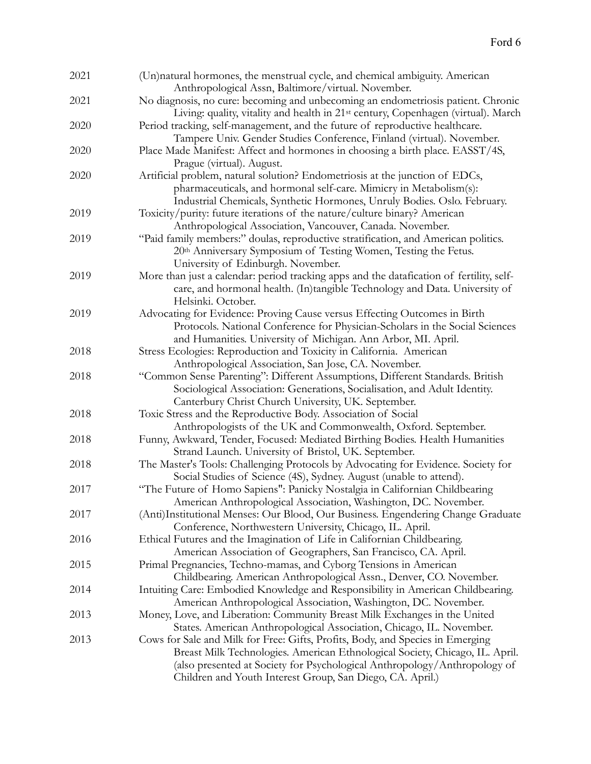| 2021 | (Un)natural hormones, the menstrual cycle, and chemical ambiguity. American<br>Anthropological Assn, Baltimore/virtual. November.                                                                                                                                                                        |
|------|----------------------------------------------------------------------------------------------------------------------------------------------------------------------------------------------------------------------------------------------------------------------------------------------------------|
| 2021 | No diagnosis, no cure: becoming and unbecoming an endometriosis patient. Chronic<br>Living: quality, vitality and health in 21 <sup>st</sup> century, Copenhagen (virtual). March                                                                                                                        |
| 2020 | Period tracking, self-management, and the future of reproductive healthcare.<br>Tampere Univ. Gender Studies Conference, Finland (virtual). November.                                                                                                                                                    |
| 2020 | Place Made Manifest: Affect and hormones in choosing a birth place. EASST/4S,<br>Prague (virtual). August.                                                                                                                                                                                               |
| 2020 | Artificial problem, natural solution? Endometriosis at the junction of EDCs,<br>pharmaceuticals, and hormonal self-care. Mimicry in Metabolism(s):<br>Industrial Chemicals, Synthetic Hormones, Unruly Bodies. Oslo. February.                                                                           |
| 2019 | Toxicity/purity: future iterations of the nature/culture binary? American<br>Anthropological Association, Vancouver, Canada. November.                                                                                                                                                                   |
| 2019 | "Paid family members:" doulas, reproductive stratification, and American politics.<br>20th Anniversary Symposium of Testing Women, Testing the Fetus.<br>University of Edinburgh. November.                                                                                                              |
| 2019 | More than just a calendar: period tracking apps and the datafication of fertility, self-<br>care, and hormonal health. (In)tangible Technology and Data. University of<br>Helsinki. October.                                                                                                             |
| 2019 | Advocating for Evidence: Proving Cause versus Effecting Outcomes in Birth<br>Protocols. National Conference for Physician-Scholars in the Social Sciences<br>and Humanities. University of Michigan. Ann Arbor, MI. April.                                                                               |
| 2018 | Stress Ecologies: Reproduction and Toxicity in California. American<br>Anthropological Association, San Jose, CA. November.                                                                                                                                                                              |
| 2018 | "Common Sense Parenting": Different Assumptions, Different Standards. British<br>Sociological Association: Generations, Socialisation, and Adult Identity.<br>Canterbury Christ Church University, UK. September.                                                                                        |
| 2018 | Toxic Stress and the Reproductive Body. Association of Social<br>Anthropologists of the UK and Commonwealth, Oxford. September.                                                                                                                                                                          |
| 2018 | Funny, Awkward, Tender, Focused: Mediated Birthing Bodies. Health Humanities<br>Strand Launch. University of Bristol, UK. September.                                                                                                                                                                     |
| 2018 | The Master's Tools: Challenging Protocols by Advocating for Evidence. Society for<br>Social Studies of Science (4S), Sydney. August (unable to attend).                                                                                                                                                  |
| 2017 | "The Future of Homo Sapiens": Panicky Nostalgia in Californian Childbearing<br>American Anthropological Association, Washington, DC. November.                                                                                                                                                           |
| 2017 | (Anti)Institutional Menses: Our Blood, Our Business. Engendering Change Graduate<br>Conference, Northwestern University, Chicago, IL. April.                                                                                                                                                             |
| 2016 | Ethical Futures and the Imagination of Life in Californian Childbearing.<br>American Association of Geographers, San Francisco, CA. April.                                                                                                                                                               |
| 2015 | Primal Pregnancies, Techno-mamas, and Cyborg Tensions in American<br>Childbearing. American Anthropological Assn., Denver, CO. November.                                                                                                                                                                 |
| 2014 | Intuiting Care: Embodied Knowledge and Responsibility in American Childbearing.<br>American Anthropological Association, Washington, DC. November.                                                                                                                                                       |
| 2013 | Money, Love, and Liberation: Community Breast Milk Exchanges in the United<br>States. American Anthropological Association, Chicago, IL. November.                                                                                                                                                       |
| 2013 | Cows for Sale and Milk for Free: Gifts, Profits, Body, and Species in Emerging<br>Breast Milk Technologies. American Ethnological Society, Chicago, IL. April.<br>(also presented at Society for Psychological Anthropology/Anthropology of<br>Children and Youth Interest Group, San Diego, CA. April.) |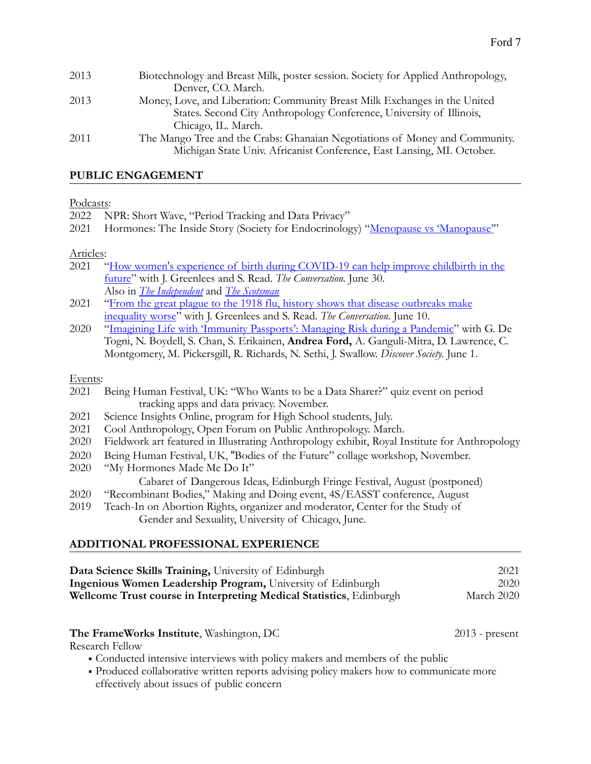| 2013 | Biotechnology and Breast Milk, poster session. Society for Applied Anthropology, |
|------|----------------------------------------------------------------------------------|
|      | Denver, CO. March.                                                               |
| 2013 | Money, Love, and Liberation: Community Breast Milk Exchanges in the United       |
|      | States. Second City Anthropology Conference, University of Illinois,             |
|      | Chicago, IL. March.                                                              |
| 2011 | The Mango Tree and the Crabs: Ghanaian Negotiations of Money and Community.      |
|      | Michigan State Univ. Africanist Conference, East Lansing, MI. October.           |

### **PUBLIC ENGAGEMENT**

#### Podcasts:

| 2022 NPR: Short Wave, "Period Tracking and Data Privacy"                              |
|---------------------------------------------------------------------------------------|
| 2021 Hormones: The Inside Story (Society for Endocrinology) "Menopause vs 'Manopause" |

#### Articles:

- 2021 ["How women's experience of birth during COVID-19 can help improve childbirth in the](https://theconversation.com/how-womens-experience-of-birth-during-covid-19-can-help-improve-childbirth-in-future-163602)  [future](https://theconversation.com/how-womens-experience-of-birth-during-covid-19-can-help-improve-childbirth-in-future-163602)" with J. Greenlees and S. Read. *The Conversation.* June 30. Also in *[The Independent](https://www.independent.co.uk/health_and_wellbeing/giving-birth-coronavirus-pandemic-covid-b1877166.html)* and *[The Scotsman](https://www.scotsman.com/news/opinion/columnists/how-womens-experience-of-birth-during-covid-19-can-help-improve-childbirth-in-future-3304877)*
- 2021 ["From the great plague to the 1918 flu, history shows that disease outbreaks make](https://theconversation.com/from-the-great-plague-to-the-1918-flu-history-shows-that-disease-outbreaks-make-inequality-worse-161945)  [inequality](https://theconversation.com/from-the-great-plague-to-the-1918-flu-history-shows-that-disease-outbreaks-make-inequality-worse-161945) worse" with J. Greenlees and S. Read. *The Conversation.* June 10.
- 2020 ["Imagining Life with 'Immunity Passports': Managing Risk during a Pandemic](https://discoversociety.org/2020/06/01/imagining-life-with-immunity-passports-managing-risk-during-a-pandemic/)" with G. De Togni, N. Boydell, S. Chan, S. Erikainen, **Andrea Ford,** A. Ganguli-Mitra, D. Lawrence, C. Montgomery, M. Pickersgill, R. Richards, N. Sethi, J. Swallow. *Discover Society.* June 1.

### Events:

- 2021 Being Human Festival, UK: "Who Wants to be a Data Sharer?" quiz event on period tracking apps and data privacy. November.
- 2021 Science Insights Online, program for High School students, July.
- 2021 Cool Anthropology, Open Forum on Public Anthropology. March.
- 2020 Fieldwork art featured in Illustrating Anthropology exhibit, Royal Institute for Anthropology
- 2020 Being Human Festival, UK, "Bodies of the Future" collage workshop, November.
- 2020 "My Hormones Made Me Do It" Cabaret of Dangerous Ideas, Edinburgh Fringe Festival, August (postponed) 2020 "Recombinant Bodies," Making and Doing event, 4S/EASST conference, August
- 2019 Teach-In on Abortion Rights, organizer and moderator, Center for the Study of
- Gender and Sexuality, University of Chicago, June.

# **ADDITIONAL PROFESSIONAL EXPERIENCE**

| Data Science Skills Training, University of Edinburgh               | 2021       |
|---------------------------------------------------------------------|------------|
| Ingenious Women Leadership Program, University of Edinburgh         | 2020       |
| Wellcome Trust course in Interpreting Medical Statistics, Edinburgh | March 2020 |

**The FrameWorks Institute**, Washington, DC 2013 - present

Research Fellow

- !Conducted intensive interviews with policy makers and members of the public
- !Produced collaborative written reports advising policy makers how to communicate more effectively about issues of public concern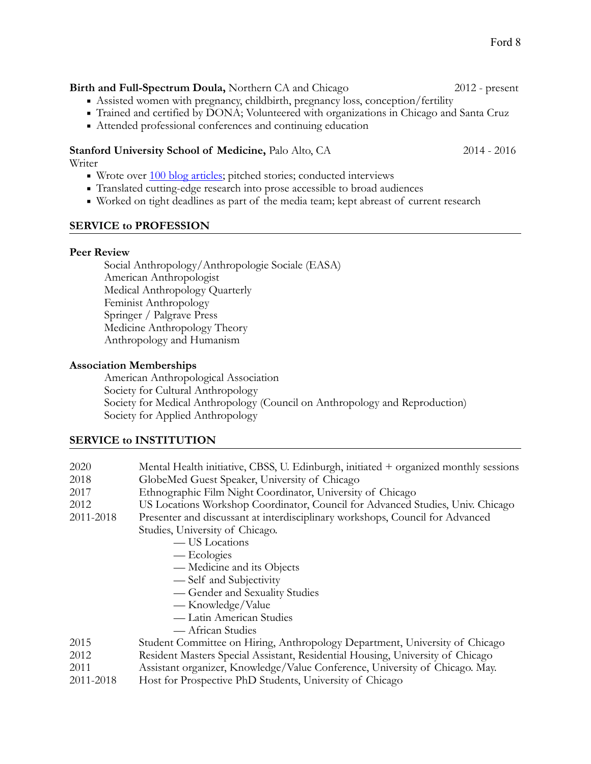#### **Birth and Full-Spectrum Doula,** Northern CA and Chicago 2012 - present

- Assisted women with pregnancy, childbirth, pregnancy loss, conception/fertility
- Trained and certified by DONA; Volunteered with organizations in Chicago and Santa Cruz
- Attended professional conferences and continuing education

### **Stanford University School of Medicine,** Palo Alto, CA 2014 - 2016

Writer

- Wrote over [100 blog articles;](https://scopeblog.stanford.edu/author/alillyf/) pitched stories; conducted interviews
- Translated cutting-edge research into prose accessible to broad audiences
- Worked on tight deadlines as part of the media team; kept abreast of current research

#### **SERVICE to PROFESSION**

#### **Peer Review**

Social Anthropology/Anthropologie Sociale (EASA) American Anthropologist Medical Anthropology Quarterly Feminist Anthropology Springer / Palgrave Press Medicine Anthropology Theory Anthropology and Humanism

### **Association Memberships**

American Anthropological Association Society for Cultural Anthropology Society for Medical Anthropology (Council on Anthropology and Reproduction) Society for Applied Anthropology

### **SERVICE to INSTITUTION**

| 2020      | Mental Health initiative, CBSS, U. Edinburgh, initiated + organized monthly sessions |
|-----------|--------------------------------------------------------------------------------------|
| 2018      | GlobeMed Guest Speaker, University of Chicago                                        |
| 2017      | Ethnographic Film Night Coordinator, University of Chicago                           |
| 2012      | US Locations Workshop Coordinator, Council for Advanced Studies, Univ. Chicago       |
| 2011-2018 | Presenter and discussant at interdisciplinary workshops, Council for Advanced        |
|           | Studies, University of Chicago.                                                      |
|           | — US Locations                                                                       |
|           | — Ecologies                                                                          |
|           | — Medicine and its Objects                                                           |
|           | -Self and Subjectivity                                                               |
|           | - Gender and Sexuality Studies                                                       |
|           | — Knowledge/Value                                                                    |
|           | — Latin American Studies                                                             |
|           | — African Studies                                                                    |
| 2015      | Student Committee on Hiring, Anthropology Department, University of Chicago          |
| 2012      | Resident Masters Special Assistant, Residential Housing, University of Chicago       |
| 2011      | Assistant organizer, Knowledge/Value Conference, University of Chicago. May.         |
| 2011-2018 | Host for Prospective PhD Students, University of Chicago                             |
|           |                                                                                      |